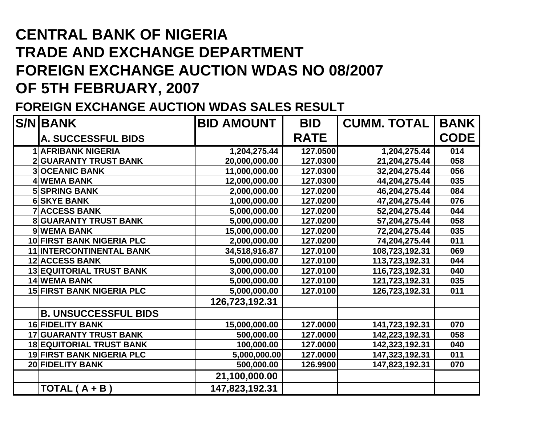## **CENTRAL BANK OF NIGERIA TRADE AND EXCHANGE DEPARTMENT FOREIGN EXCHANGE AUCTION WDAS NO 08/2007 OF 5TH FEBRUARY, 2007**

## **FOREIGN EXCHANGE AUCTION WDAS SALES RESULT**

| <b>S/N BANK</b>                  | <b>BID AMOUNT</b> | <b>BID</b>  | <b>CUMM. TOTAL</b> | <b>BANK</b> |
|----------------------------------|-------------------|-------------|--------------------|-------------|
| A. SUCCESSFUL BIDS               |                   | <b>RATE</b> |                    | <b>CODE</b> |
| <b>1 AFRIBANK NIGERIA</b>        | 1,204,275.44      | 127.0500    | 1,204,275.44       | 014         |
| <b>2 GUARANTY TRUST BANK</b>     | 20,000,000.00     | 127.0300    | 21,204,275.44      | 058         |
| <b>3OCEANIC BANK</b>             | 11,000,000.00     | 127.0300    | 32,204,275.44      | 056         |
| 4 WEMA BANK                      | 12,000,000.00     | 127.0300    | 44,204,275.44      | 035         |
| <b>5 SPRING BANK</b>             | 2,000,000.00      | 127.0200    | 46,204,275.44      | 084         |
| <b>6 SKYE BANK</b>               | 1,000,000.00      | 127.0200    | 47,204,275.44      | 076         |
| <b>7 ACCESS BANK</b>             | 5,000,000.00      | 127.0200    | 52,204,275.44      | 044         |
| <b>8 GUARANTY TRUST BANK</b>     | 5,000,000.00      | 127.0200    | 57,204,275.44      | 058         |
| 9 WEMA BANK                      | 15,000,000.00     | 127.0200    | 72,204,275.44      | 035         |
| 10 FIRST BANK NIGERIA PLC        | 2,000,000.00      | 127.0200    | 74,204,275.44      | 011         |
| <b>11 INTERCONTINENTAL BANK</b>  | 34,518,916.87     | 127.0100    | 108,723,192.31     | 069         |
| <b>12 ACCESS BANK</b>            | 5,000,000.00      | 127.0100    | 113,723,192.31     | 044         |
| <b>13 EQUITORIAL TRUST BANK</b>  | 3,000,000.00      | 127.0100    | 116,723,192.31     | 040         |
| <b>14 WEMA BANK</b>              | 5,000,000.00      | 127.0100    | 121,723,192.31     | 035         |
| <b>15 FIRST BANK NIGERIA PLC</b> | 5,000,000.00      | 127.0100    | 126,723,192.31     | 011         |
|                                  | 126,723,192.31    |             |                    |             |
| <b>B. UNSUCCESSFUL BIDS</b>      |                   |             |                    |             |
| <b>16 FIDELITY BANK</b>          | 15,000,000.00     | 127.0000    | 141,723,192.31     | 070         |
| <b>17 GUARANTY TRUST BANK</b>    | 500,000.00        | 127.0000    | 142,223,192.31     | 058         |
| <b>18 EQUITORIAL TRUST BANK</b>  | 100,000.00        | 127.0000    | 142,323,192.31     | 040         |
| <b>19 FIRST BANK NIGERIA PLC</b> | 5,000,000.00      | 127.0000    | 147,323,192.31     | 011         |
| 20 FIDELITY BANK                 | 500,000.00        | 126.9900    | 147,823,192.31     | 070         |
|                                  | 21,100,000.00     |             |                    |             |
| TOTAL $(A + B)$                  | 147,823,192.31    |             |                    |             |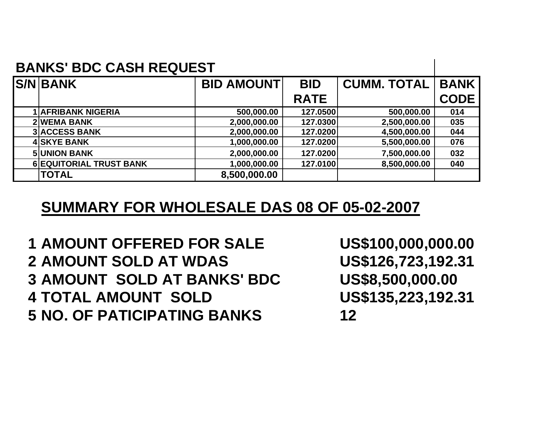| <b>BANKS' BDC CASH REQUEST</b> |                                |                   |             |                    |             |
|--------------------------------|--------------------------------|-------------------|-------------|--------------------|-------------|
|                                | <b>S/N BANK</b>                | <b>BID AMOUNT</b> | <b>BID</b>  | <b>CUMM. TOTAL</b> | <b>BANK</b> |
|                                |                                |                   | <b>RATE</b> |                    | <b>CODE</b> |
|                                | <b>1 AFRIBANK NIGERIA</b>      | 500,000.00        | 127.0500    | 500,000.00         | 014         |
|                                | <b>2WEMA BANK</b>              | 2,000,000.00      | 127.0300    | 2,500,000.00       | 035         |
|                                | <b>3 ACCESS BANK</b>           | 2,000,000.00      | 127.0200    | 4,500,000.00       | 044         |
|                                | <b>4 SKYE BANK</b>             | 1,000,000.00      | 127.0200    | 5,500,000.00       | 076         |
|                                | <b>5 UNION BANK</b>            | 2,000,000.00      | 127.0200    | 7,500,000.00       | 032         |
|                                | <b>6 EQUITORIAL TRUST BANK</b> | 1,000,000.00      | 127.0100    | 8,500,000.00       | 040         |
|                                | <b>TOTAL</b>                   | 8,500,000.00      |             |                    |             |

## **SUMMARY FOR WHOLESALE DAS 08 OF 05-02-2007**

 **AMOUNT OFFERED FOR SALE US\$100,000,000.00 AMOUNT SOLD AT WDAS US\$126,723,192.31 AMOUNT SOLD AT BANKS' BDC US\$8,500,000.00 TOTAL AMOUNT SOLD US\$135,223,192.31 NO. OF PATICIPATING BANKS 12**